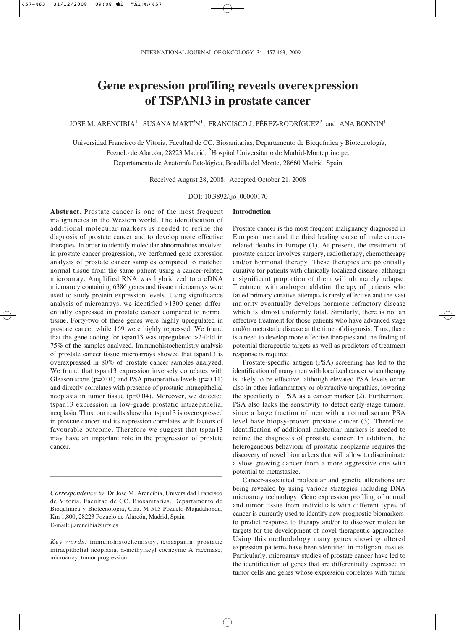# **Gene expression profiling reveals overexpression of TSPAN13 in prostate cancer**

JOSE M. ARENCIBIA<sup>1</sup>, SUSANA MARTÍN<sup>1</sup>, FRANCISCO J. PÉREZ-RODRÍGUEZ<sup>2</sup> and ANA BONNIN<sup>1</sup>

<sup>1</sup>Universidad Francisco de Vitoria, Facultad de CC. Biosanitarias, Departamento de Bioquímica y Biotecnología, Pozuelo de Alarcón, 28223 Madrid; 2Hospital Universitario de Madrid-Monteprincipe, Departamento de Anatomía Patológica, Boadilla del Monte, 28660 Madrid, Spain

Received August 28, 2008; Accepted October 21, 2008

DOI: 10.3892/ijo\_00000170

**Introduction**

**Abstract.** Prostate cancer is one of the most frequent malignancies in the Western world. The identification of additional molecular markers is needed to refine the diagnosis of prostate cancer and to develop more effective therapies. In order to identify molecular abnormalities involved in prostate cancer progression, we performed gene expression analysis of prostate cancer samples compared to matched normal tissue from the same patient using a cancer-related microarray. Amplified RNA was hybridized to a cDNA microarray containing 6386 genes and tissue microarrays were used to study protein expression levels. Using significance analysis of microarrays, we identified >1300 genes differentially expressed in prostate cancer compared to normal tissue. Forty-two of these genes were highly upregulated in prostate cancer while 169 were highly repressed. We found that the gene coding for tspan13 was upregulated >2-fold in 75% of the samples analyzed. Immunohistochemistry analysis of prostate cancer tissue microarrays showed that tspan13 is overexpressed in 80% of prostate cancer samples analyzed. We found that tspan13 expression inversely correlates with Gleason score ( $p=0.01$ ) and PSA preoperative levels ( $p=0.11$ ) and directly correlates with presence of prostatic intraepithelial neoplasia in tumor tissue (p=0.04). Moreover, we detected tspan13 expression in low-grade prostatic intraepithelial neoplasia. Thus, our results show that tspan13 is overexpressed in prostate cancer and its expression correlates with factors of favourable outcome. Therefore we suggest that tspan13 may have an important role in the progression of prostate cancer.

*Correspondence to*: Dr Jose M. Arencibia, Universidad Francisco de Vitoria, Facultad de CC. Biosanitarias, Departamento de Bioquímica y Biotecnología, Ctra. M-515 Pozuelo-Majadahonda, Km 1,800, 28223 Pozuelo de Alarcón, Madrid, Spain E-mail: j.arencibia@ufv.es

\_\_\_\_\_\_\_\_\_\_\_\_\_\_\_\_\_\_\_\_\_\_\_\_\_\_\_\_\_\_\_\_\_\_\_\_\_\_\_\_\_

*Key words:* immunohistochemistry, tetraspanin, prostatic intraepithelial neoplasia,  $\alpha$ -methylacyl coenzyme A racemase, microarray, tumor progression

Prostate cancer is the most frequent malignancy diagnosed in European men and the third leading cause of male cancerrelated deaths in Europe (1). At present, the treatment of prostate cancer involves surgery, radiotherapy, chemotherapy and/or hormonal therapy. These therapies are potentially curative for patients with clinically localized disease, although a significant proportion of them will ultimately relapse. Treatment with androgen ablation therapy of patients who failed primary curative attempts is rarely effective and the vast majority eventually develops hormone-refractory disease which is almost uniformly fatal. Similarly, there is not an effective treatment for those patients who have advanced stage and/or metastatic disease at the time of diagnosis. Thus, there is a need to develop more effective therapies and the finding of potential therapeutic targets as well as predictors of treatment response is required.

Prostate-specific antigen (PSA) screening has led to the identification of many men with localized cancer when therapy is likely to be effective, although elevated PSA levels occur also in other inflammatory or obstructive uropathies, lowering the specificity of PSA as a cancer marker (2). Furthermore, PSA also lacks the sensitivity to detect early-stage tumors, since a large fraction of men with a normal serum PSA level have biopsy-proven prostate cancer (3). Therefore, identification of additional molecular markers is needed to refine the diagnosis of prostate cancer. In addition, the heterogeneous behaviour of prostatic neoplasms requires the discovery of novel biomarkers that will allow to discriminate a slow growing cancer from a more aggressive one with potential to metastasize.

Cancer-associated molecular and genetic alterations are being revealed by using various strategies including DNA microarray technology. Gene expression profiling of normal and tumor tissue from individuals with different types of cancer is currently used to identify new prognostic biomarkers, to predict response to therapy and/or to discover molecular targets for the development of novel therapeutic approaches. Using this methodology many genes showing altered expression patterns have been identified in malignant tissues. Particularly, microarray studies of prostate cancer have led to the identification of genes that are differentially expressed in tumor cells and genes whose expression correlates with tumor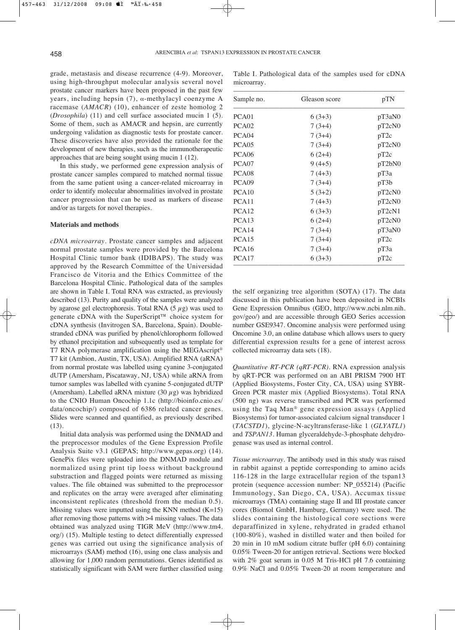grade, metastasis and disease recurrence (4-9). Moreover, using high-throughput molecular analysis several novel prostate cancer markers have been proposed in the past few years, including hepsin  $(7)$ ,  $\alpha$ -methylacyl coenzyme A racemase (*AMACR*) (10), enhancer of zeste homolog 2 (*Drosophila*) (11) and cell surface associated mucin 1 (5). Some of them, such as AMACR and hepsin, are currently undergoing validation as diagnostic tests for prostate cancer. These discoveries have also provided the rationale for the development of new therapies, such as the immunotherapeutic approaches that are being sought using mucin 1 (12).

In this study, we performed gene expression analysis of prostate cancer samples compared to matched normal tissue from the same patient using a cancer-related microarray in order to identify molecular abnormalities involved in prostate cancer progression that can be used as markers of disease and/or as targets for novel therapies.

### **Materials and methods**

*cDNA microarray*. Prostate cancer samples and adjacent normal prostate samples were provided by the Barcelona Hospital Clinic tumor bank (IDIBAPS). The study was approved by the Research Committee of the Universidad Francisco de Vitoria and the Ethics Committee of the Barcelona Hospital Clinic. Pathological data of the samples are shown in Table I. Total RNA was extracted, as previously described (13). Purity and quality of the samples were analyzed by agarose gel electrophoresis. Total RNA  $(5 \mu g)$  was used to generate cDNA with the SuperScript™ choice system for cDNA synthesis (Invitrogen SA, Barcelona, Spain). Doublestranded cDNA was purified by phenol/chlorophorm followed by ethanol precipitation and subsequently used as template for T7 RNA polymerase amplification using the MEGAscript® T7 kit (Ambion, Austin, TX, USA). Amplified RNA (aRNA) from normal prostate was labelled using cyanine 3-conjugated dUTP (Amersham, Piscataway, NJ, USA) while aRNA from tumor samples was labelled with cyanine 5-conjugated dUTP (Amersham). Labelled aRNA mixture (30  $\mu$ g) was hybridized to the CNIO Human Oncochip 1.1c (http://bioinfo.cnio.es/ data/oncochip/) composed of 6386 related cancer genes. Slides were scanned and quantified, as previously described (13).

Initial data analysis was performed using the DNMAD and the preprocessor modules of the Gene Expression Profile Analysis Suite v3.1 (GEPAS; http://www.gepas.org) (14). GenePix files were uploaded into the DNMAD module and normalized using print tip loess without background substraction and flagged points were returned as missing values. The file obtained was submitted to the preprocessor and replicates on the array were averaged after eliminating inconsistent replicates (threshold from the median 0.5). Missing values were imputted using the KNN method  $(K=15)$ after removing those patterns with >4 missing values. The data obtained was analyzed using TIGR MeV (http://www.tm4. org/) (15). Multiple testing to detect differentially expressed genes was carried out using the significance analysis of microarrays (SAM) method (16), using one class analysis and allowing for 1,000 random permutations. Genes identified as statistically significant with SAM were further classified using

Table I. Pathological data of the samples used for cDNA microarray.

| PCA <sub>01</sub><br>$6(3+3)$<br>pT3aN0<br>PCA <sub>02</sub><br>pT <sub>2</sub> cN <sub>0</sub><br>$7(3+4)$<br>PCA <sub>04</sub><br>$7(3+4)$<br>pT2c<br>PCA <sub>05</sub><br>$7(3+4)$<br>pT2cN0<br>PCA <sub>06</sub><br>$6(2+4)$<br>pT2c |  |
|------------------------------------------------------------------------------------------------------------------------------------------------------------------------------------------------------------------------------------------|--|
|                                                                                                                                                                                                                                          |  |
|                                                                                                                                                                                                                                          |  |
|                                                                                                                                                                                                                                          |  |
|                                                                                                                                                                                                                                          |  |
|                                                                                                                                                                                                                                          |  |
| PCA07<br>$9(4+5)$<br>pT2bN0                                                                                                                                                                                                              |  |
| PCA <sub>08</sub><br>$7(4+3)$<br>pT3a                                                                                                                                                                                                    |  |
| PCA09<br>$7(3+4)$<br>pT3b                                                                                                                                                                                                                |  |
| PCA10<br>$5(3+2)$<br>pT2cN0                                                                                                                                                                                                              |  |
| PCA11<br>$7(4+3)$<br>pT <sub>2</sub> cN <sub>0</sub>                                                                                                                                                                                     |  |
| PCA <sub>12</sub><br>$6(3+3)$<br>pT2cN1                                                                                                                                                                                                  |  |
| PCA <sub>13</sub><br>$6(2+4)$<br>pT2cN0                                                                                                                                                                                                  |  |
| PCA <sub>14</sub><br>$7(3+4)$<br>pT3aN0                                                                                                                                                                                                  |  |
| PCA <sub>15</sub><br>$7(3+4)$<br>pT2c                                                                                                                                                                                                    |  |
| PCA16<br>$7(3+4)$<br>рТЗа                                                                                                                                                                                                                |  |
| PCA <sub>17</sub><br>$6(3+3)$<br>pT2c                                                                                                                                                                                                    |  |

the self organizing tree algorithm (SOTA) (17). The data discussed in this publication have been deposited in NCBIs Gene Expression Omnibus (GEO, http://www.ncbi.nlm.nih. gov/geo/) and are accessible through GEO Series accession number GSE9347. Oncomine analysis were performed using Oncomine 3.0, an online database which allows users to query differential expression results for a gene of interest across collected microarray data sets (18).

*Quantitative RT-PCR (qRT-PCR)*. RNA expression analysis by qRT-PCR was performed on an ABI PRISM 7900 HT (Applied Biosystems, Foster City, CA, USA) using SYBR-Green PCR master mix (Applied Biosystems). Total RNA (500 ng) was reverse transcribed and PCR was performed using the Taq Man® gene expression assays (Applied Biosystems) for tumor-associated calcium signal transducer 1 (*TACSTD1*), glycine-N-acyltransferase-like 1 (*GLYATL1*) and *TSPAN13*. Human glyceraldehyde-3-phosphate dehydrogenase was used as internal control.

*Tissue microarray*. The antibody used in this study was raised in rabbit against a peptide corresponding to amino acids 116-128 in the large extracellular region of the tspan13 protein (sequence accession number: NP\_055214) (Pacific Immunology, San Diego, CA, USA). Accumax tissue microarrays (TMA) containing stage II and III prostate cancer cores (Biomol GmbH, Hamburg, Germany) were used. The slides containing the histological core sections were deparaffinized in xylene, rehydrated in graded ethanol (100-80%), washed in distilled water and then boiled for 20 min in 10 mM sodium citrate buffer (pH 6.0) containing 0.05% Tween-20 for antigen retrieval. Sections were blocked with 2% goat serum in 0.05 M Tris-HCl pH 7.6 containing 0.9% NaCl and 0.05% Tween-20 at room temperature and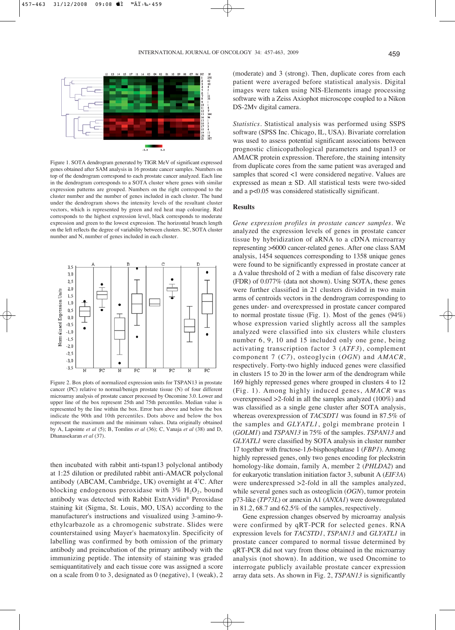

Figure 1. SOTA dendrogram generated by TIGR MeV of significant expressed genes obtained after SAM analysis in 16 prostate cancer samples. Numbers on top of the dendrogram correspond to each prostate cancer analyzed. Each line in the dendrogram corresponds to a SOTA cluster where genes with similar expression patterns are grouped. Numbers on the right correspond to the cluster number and the number of genes included in each cluster. The band under the dendrogram shows the intensity levels of the resultant cluster vectors, which is represented by green and red heat map colouring. Red corresponds to the highest expression level, black corresponds to moderate expression and green to the lowest expression. The horizontal branch length on the left reflects the degree of variability between clusters. SC, SOTA cluster number and N, number of genes included in each cluster.



Figure 2. Box plots of normalized expression units for TSPAN13 in prostate cancer (PC) relative to normal/benign prostate tissue (N) of four different microarray analysis of prostate cancer processed by Oncomine 3.0. Lower and upper line of the box represent 25th and 75th percentiles. Median value is represented by the line within the box. Error bars above and below the box indicate the 90th and 10th percentiles. Dots above and below the box represent the maximum and the minimum values. Data originally obtained by A, Lapointe *et al* (5); B, Tomlins *et al* (36); C, Vanaja *et al* (38) and D, Dhanasekaran *et al* (37).

then incubated with rabbit anti-tspan13 polyclonal antibody at 1:25 dilution or prediluted rabbit anti-AMACR polyclonal antibody (ABCAM, Cambridge, UK) overnight at 4˚C. After blocking endogenous peroxidase with  $3\%$  H<sub>2</sub>O<sub>2</sub>, bound antibody was detected with Rabbit ExtrAvidin® Peroxidase staining kit (Sigma, St. Louis, MO, USA) according to the manufacturer's instructions and visualized using 3-amino-9 ethylcarbazole as a chromogenic substrate. Slides were counterstained using Mayer's haematoxylin. Specificity of labelling was confirmed by both omission of the primary antibody and preincubation of the primary antibody with the immunizing peptide. The intensity of staining was graded semiquantitatively and each tissue core was assigned a score on a scale from 0 to 3, designated as 0 (negative), 1 (weak), 2

(moderate) and 3 (strong). Then, duplicate cores from each patient were averaged before statistical analysis. Digital images were taken using NIS-Elements image processing software with a Zeiss Axiophot microscope coupled to a Nikon DS-2Mv digital camera.

*Statistics*. Statistical analysis was performed using SSPS software (SPSS Inc. Chicago, IL, USA). Bivariate correlation was used to assess potential significant associations between prognostic clinicopathological parameters and tspan13 or AMACR protein expression. Therefore, the staining intensity from duplicate cores from the same patient was averaged and samples that scored <1 were considered negative. Values are expressed as mean  $\pm$  SD. All statistical tests were two-sided and a p<0.05 was considered statistically significant.

## **Results**

*Gene expression profiles in prostate cancer samples*. We analyzed the expression levels of genes in prostate cancer tissue by hybridization of aRNA to a cDNA microarray representing >6000 cancer-related genes. After one class SAM analysis, 1454 sequences corresponding to 1358 unique genes were found to be significantly expressed in prostate cancer at a  $\Delta$  value threshold of 2 with a median of false discovery rate (FDR) of 0.077% (data not shown). Using SOTA, these genes were further classified in 21 clusters divided in two main arms of centroids vectors in the dendrogram corresponding to genes under- and overexpressed in prostate cancer compared to normal prostate tissue (Fig. 1). Most of the genes (94%) whose expression varied slightly across all the samples analyzed were classified into six clusters while clusters number 6, 9, 10 and 15 included only one gene, being activating transcription factor 3 (*ATF3*), complement component 7 (*C7*), osteoglycin (*OGN*) and *AMACR*, respectively. Forty-two highly induced genes were classified in clusters 15 to 20 in the lower arm of the dendrogram while 169 highly repressed genes where grouped in clusters 4 to 12 (Fig. 1). Among highly induced genes, *AMACR* was overexpressed >2-fold in all the samples analyzed (100%) and was classified as a single gene cluster after SOTA analysis, whereas overexpression of *TACSDT1* was found in 87.5% of the samples and *GLYATL1*, golgi membrane protein 1 (*GOLM1*) and *TSPAN13* in 75% of the samples. *TSPAN13* and *GLYATL1* were classified by SOTA analysis in cluster number 17 together with fructose-1,6-bisphosphatase 1 (*FBP1*). Among highly repressed genes, only two genes encoding for pleckstrin homology-like domain, family A, member 2 (*PHLDA2*) and for eukaryotic translation initiation factor 3, subunit A (*EIF3A*) were underexpressed >2-fold in all the samples analyzed, while several genes such as osteoglicin (*OGN*), tumor protein p73-like (*TP73L*) or annexin A1 (*ANXA1*) were downregulated in 81.2, 68.7 and 62.5% of the samples, respectively.

Gene expression changes observed by microarray analysis were confirmed by qRT-PCR for selected genes. RNA expression levels for *TACSTD1*, *TSPAN13* and *GLYATL1* in prostate cancer compared to normal tissue determined by qRT-PCR did not vary from those obtained in the microarray analysis (not shown). In addition, we used Oncomine to interrogate publicly available prostate cancer expression array data sets. As shown in Fig. 2, *TSPAN13* is significantly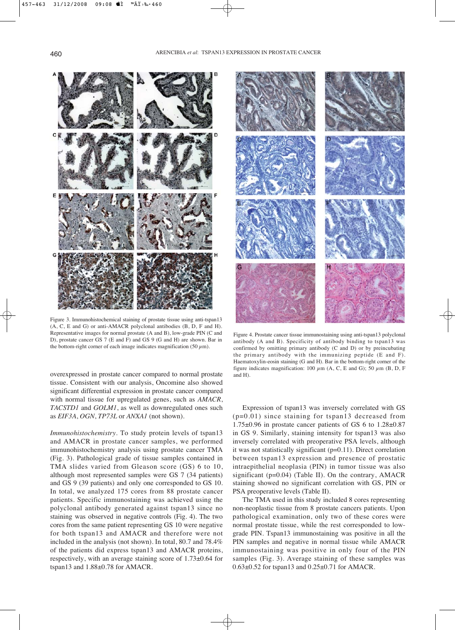

Figure 3. Immunohistochemical staining of prostate tissue using anti-tspan13 (A, C, E and G) or anti-AMACR polyclonal antibodies (B, D, F and H). Representative images for normal prostate (A and B), low-grade PIN (C and D), prostate cancer GS 7 (E and F) and GS 9 (G and H) are shown. Bar in the bottom-right corner of each image indicates magnification (50  $\mu$ m).

overexpressed in prostate cancer compared to normal prostate tissue. Consistent with our analysis, Oncomine also showed significant differential expression in prostate cancer compared with normal tissue for upregulated genes, such as *AMACR*, *TACSTD1* and *GOLM1*, as well as downregulated ones such as *EIF3A*, *OGN*, *TP73L* or *ANXA1* (not shown).

*Immunohistochemistry*. To study protein levels of tspan13 and AMACR in prostate cancer samples, we performed immunohistochemistry analysis using prostate cancer TMA (Fig. 3). Pathological grade of tissue samples contained in TMA slides varied from Gleason score (GS) 6 to 10, although most represented samples were GS 7 (34 patients) and GS 9 (39 patients) and only one corresponded to GS 10. In total, we analyzed 175 cores from 88 prostate cancer patients. Specific immunostaining was achieved using the polyclonal antibody generated against tspan13 since no staining was observed in negative controls (Fig. 4). The two cores from the same patient representing GS 10 were negative for both tspan13 and AMACR and therefore were not included in the analysis (not shown). In total, 80.7 and 78.4% of the patients did express tspan13 and AMACR proteins, respectively, with an average staining score of 1.73±0.64 for tspan13 and 1.88±0.78 for AMACR.



Figure 4. Prostate cancer tissue immunostaining using anti-tspan13 polyclonal antibody (A and B). Specificity of antibody binding to tspan13 was confirmed by omitting primary antibody (C and D) or by preincubating the primary antibody with the immunizing peptide (E and F). Haematoxylin-eosin staining (G and H). Bar in the bottom-right corner of the figure indicates magnification: 100  $\mu$ m (A, C, E and G); 50  $\mu$ m (B, D, F and H).

Expression of tspan13 was inversely correlated with GS (p=0.01) since staining for tspan13 decreased from 1.75±0.96 in prostate cancer patients of GS 6 to 1.28±0.87 in GS 9. Similarly, staining intensity for tspan13 was also inversely correlated with preoperative PSA levels, although it was not statistically significant (p=0.11). Direct correlation between tspan13 expression and presence of prostatic intraepithelial neoplasia (PIN) in tumor tissue was also significant (p=0.04) (Table II). On the contrary, AMACR staining showed no significant correlation with GS, PIN or PSA preoperative levels (Table II).

The TMA used in this study included 8 cores representing non-neoplastic tissue from 8 prostate cancers patients. Upon pathological examination, only two of these cores were normal prostate tissue, while the rest corresponded to lowgrade PIN. Tspan13 immunostaining was positive in all the PIN samples and negative in normal tissue while AMACR immunostaining was positive in only four of the PIN samples (Fig. 3). Average staining of these samples was 0.63±0.52 for tspan13 and 0.25±0.71 for AMACR.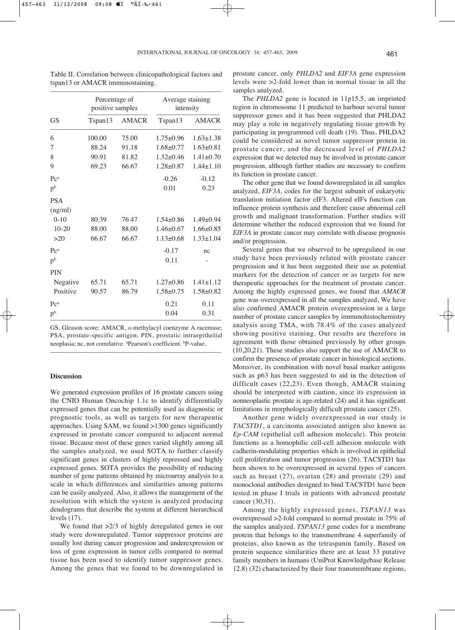| <b>GS</b>      | Percentage of<br>positive samples |              | Average staining<br>intensity |                 |
|----------------|-----------------------------------|--------------|-------------------------------|-----------------|
|                | Tspan13                           | <b>AMACR</b> | Tspan13                       | <b>AMACR</b>    |
| 6              | 100.00                            | 75.00        | $1.75 \pm 0.96$               | $1.63 \pm 1.38$ |
| 7              | 88.24                             | 91.18        | $1.68 \pm 0.77$               | $1.63 \pm 0.81$ |
| 8              | 90.91                             | 81.82        | $1.32 \pm 0.46$               | $1.41 \pm 0.70$ |
| 9              | 69.23                             | 66.67        | $1.28 \pm 0.87$               | $1.44 \pm 1.10$ |
| P <sup>c</sup> |                                   |              | $-0.26$                       | $-0.12$         |
| p <sup>b</sup> |                                   |              | 0.01                          | 0.23            |
| <b>PSA</b>     |                                   |              |                               |                 |
| (ng/ml)        |                                   |              |                               |                 |
| $0-10$         | 80.39                             | 76.47        | $1.54\pm0.86$                 | $1.49 \pm 0.94$ |
| $10-20$        | 88.00                             | 88.00        | $1.46\pm 0.67$                | $1.66 \pm 0.85$ |
| >20            | 66.67                             | 66.67        | $1.13 \pm 0.68$               | $1.33 \pm 1.04$ |
| P <sup>c</sup> |                                   |              | $-0.17$                       | nc              |
| p <sub>b</sub> |                                   |              | 0.11                          |                 |
| <b>PIN</b>     |                                   |              |                               |                 |
| Negative       | 65.71                             | 65.71        | $1.27 \pm 0.86$               | $1.41 \pm 1.12$ |
| Positive       | 90.57                             | 86.79        | $1.58 \pm 0.75$               | $1.58 \pm 0.82$ |
| P <sup>c</sup> |                                   |              | 0.21                          | 0.11            |
| p <sub>b</sub> |                                   |              | 0.04                          | 0.31            |

Table II. Correlation between clinicopathological factors and tspan13 or AMACR immunostaining.

GS, Gleason score; AMACR,  $\alpha$ -methylacyl coenzyme A racemase; PSA, prostate-specific antigen; PIN, prostatic intraepithelial neoplasia; nc, not correlative. <sup>a</sup>Pearson's coefficient. <sup>b</sup>P-value.

–––––––––––––––––––––––––––––––––––––––––––––––––

## **Discussion**

We generated expression profiles of 16 prostate cancers using the CNIO Human Oncochip 1.1c to identify differentially expressed genes that can be potentially used as diagnostic or prognostic tools, as well as targets for new therapeutic approaches. Using SAM, we found >1300 genes significantly expressed in prostate cancer compared to adjacent normal tissue. Because most of these genes varied slightly among all the samples analyzed, we used SOTA to further classify significant genes in clusters of highly repressed and highly expressed genes. SOTA provides the possibility of reducing number of gene patterns obtained by microarray analysis to a scale in which differences and similarities among patterns can be easily analyzed. Also, it allows the management of the resolution with which the system is analyzed producing dendograms that describe the system at different hierarchical levels (17).

We found that  $>2/3$  of highly deregulated genes in our study were downregulated. Tumor suppressor proteins are usually lost during cancer progression and underexpression or loss of gene expression in tumor cells compared to normal tissue has been used to identify tumor suppressor genes. Among the genes that we found to be downregulated in

prostate cancer, only *PHLDA2* and *EIF3A* gene expression levels were >2-fold lower than in normal tissue in all the samples analyzed.

The *PHLDA2* gene is located in 11p15.5, an imprinted region in chromosome 11 predicted to harbour several tumor suppressor genes and it has been suggested that PHLDA2 may play a role in negatively regulating tissue growth by participating in programmed cell death (19). Thus, PHLDA2 could be considered as novel tumor suppressor protein in prostate cancer, and the decreased level of *PHLDA2* expression that we detected may be involved in prostate cancer progression, although further studies are necessary to confirm its function in prostate cancer.

The other gene that we found downregulated in all samples analyzed, *EIF3A*, codes for the largest subunit of eukaryotic translation initiation factor eIF3. Altered eIFs function can influence protein synthesis and therefore cause abnormal cell growth and malignant transformation. Further studies will determine whether the reduced expression that we found for *EIF3A* in prostate cancer may correlate with disease prognosis and/or progression.

Several genes that we observed to be upregulated in our study have been previously related with prostate cancer progression and it has been suggested their use as potential markers for the detection of cancer or as targets for new therapeutic approaches for the treatment of prostate cancer. Among the highly expressed genes, we found that *AMACR* gene was overexpressed in all the samples analyzed. We have also confirmed AMACR protein overexpression in a large number of prostate cancer samples by immunohistochemistry analysis using TMA, with 78.4% of the cases analyzed showing positive staining. Our results are therefore in agreement with those obtained previously by other groups (10,20,21). These studies also support the use of AMACR to confirm the presence of prostate cancer in histological sections. Moreover, its combination with novel basal marker antigens such as p63 has been suggested to aid in the detection of difficult cases (22,23). Even though, AMACR staining should be interpreted with caution, since its expression in nonneoplastic prostate is age-related (24) and it has significant limitations in morphologically difficult prostate cancer (25).

Another gene widely overexpressed in our study is *TACSTD1*, a carcinoma associated antigen also known as *Ep-CAM* (epithelial cell adhesion molecule). This protein functions as a homophilic cell-cell adhesion molecule with cadherin-modulating properties which is involved in epithelial cell proliferation and tumor progression (26). TACSTD1 has been shown to be overexpressed in several types of cancers such as breast (27), ovarian (28) and prostate (29) and monoclonal antibodies designed to bind TACSTD1 have been tested in phase I trials in patients with advanced prostate cancer (30,31).

Among the highly expressed genes, *TSPAN13* was overexpressed >2-fold compared to normal prostate in 75% of the samples analyzed. *TSPAN13* gene codes for a membrane protein that belongs to the transmembrane 4 superfamily of proteins, also known as the tetraspanin family. Based on protein sequence similarities there are at least 33 putative family members in humans (UniProt Knowledgebase Release 12.8) (32) characterized by their four transmembrane regions,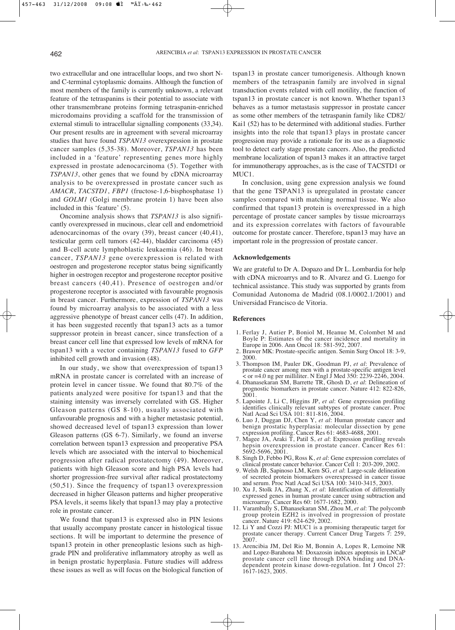two extracellular and one intracellular loops, and two short Nand C-terminal cytoplasmic domains. Although the function of most members of the family is currently unknown, a relevant feature of the tetraspanins is their potential to associate with other transmembrane proteins forming tetraspanin-enriched microdomains providing a scaffold for the transmission of external stimuli to intracellular signalling components (33,34). Our present results are in agreement with several microarray studies that have found *TSPAN13* overexpression in prostate cancer samples (5,35-38). Moreover, *TSPAN13* has been included in a 'feature' representing genes more highly expressed in prostate adenocarcinoma (5). Together with *TSPAN13*, other genes that we found by cDNA microarray analysis to be overexpressed in prostate cancer such as *AMACR*, *TACSTD1*, *FBP1* (fructose-1,6-bisphosphatase 1) and *GOLM1* (Golgi membrane protein 1) have been also included in this 'feature' (5).

Oncomine analysis shows that *TSPAN13* is also significantly overexpressed in mucinous, clear cell and endometrioid adenocarcinomas of the ovary (39), breast cancer (40,41), testicular germ cell tumors (42-44), bladder carcinoma (45) and B-cell acute lymphoblastic leukaemia (46). In breast cancer, *TSPAN13* gene overexpression is related with oestrogen and progesterone receptor status being significantly higher in oestrogen receptor and progesterone receptor positive breast cancers (40,41). Presence of oestrogen and/or progesterone receptor is associated with favourable prognosis in breast cancer. Furthermore, expression of *TSPAN13* was found by microarray analysis to be associated with a less aggressive phenotype of breast cancer cells (47). In addition, it has been suggested recently that tspan13 acts as a tumor suppressor protein in breast cancer, since transfection of a breast cancer cell line that expressed low levels of mRNA for tspan13 with a vector containing *TSPAN13* fused to *GFP* inhibited cell growth and invasion (48).

In our study, we show that overexpression of tspan13 mRNA in prostate cancer is correlated with an increase of protein level in cancer tissue. We found that 80.7% of the patients analyzed were positive for tspan13 and that the staining intensity was inversely correlated with GS. Higher Gleason patterns (GS 8-10), usually associated with unfavourable prognosis and with a higher metastasic potential, showed decreased level of tspan13 expression than lower Gleason patterns (GS 6-7). Similarly, we found an inverse correlation between tspan13 expression and preoperative PSA levels which are associated with the interval to biochemical progression after radical prostatectomy (49). Moreover, patients with high Gleason score and high PSA levels had shorter progression-free survival after radical prostatectomy (50,51). Since the frequency of tspan13 overexpression decreased in higher Gleason patterns and higher preoperative PSA levels, it seems likely that tspan13 may play a protective role in prostate cancer.

We found that tspan13 is expressed also in PIN lesions that usually accompany prostate cancer in histological tissue sections. It will be important to determine the presence of tspan13 protein in other preneoplastic lesions such as highgrade PIN and proliferative inflammatory atrophy as well as in benign prostatic hyperplasia. Future studies will address these issues as well as will focus on the biological function of

tspan13 in prostate cancer tumorigenesis. Although known members of the tetraspanin family are involved in signal transduction events related with cell motility, the function of tspan13 in prostate cancer is not known. Whether tspan13 behaves as a tumor metastasis suppressor in prostate cancer as some other members of the tetraspanin family like CD82/ Kai1 (52) has to be determined with additional studies. Further insights into the role that tspan13 plays in prostate cancer progression may provide a rationale for its use as a diagnostic tool to detect early stage prostate cancers. Also, the predicted membrane localization of tspan13 makes it an attractive target for immunotherapy approaches, as is the case of TACSTD1 or MUC1.

In conclusion, using gene expression analysis we found that the gene TSPAN13 is upregulated in prostate cancer samples compared with matching normal tissue. We also confirmed that tspan13 protein is overexpressed in a high percentage of prostate cancer samples by tissue microarrays and its expression correlates with factors of favourable outcome for prostate cancer. Therefore, tspan13 may have an important role in the progression of prostate cancer.

#### **Acknowledgements**

We are grateful to Dr A. Dopazo and Dr L. Lombardia for help with cDNA microarrys and to R. Alvarez and G. Luengo for technical assistance. This study was supported by grants from Comunidad Autonoma de Madrid (08.1/0002.1/2001) and Universidad Francisco de Vitoria.

## **References**

- 1. Ferlay J, Autier P, Boniol M, Heanue M, Colombet M and Boyle P: Estimates of the cancer incidence and mortality in Europe in 2006. Ann Oncol 18: 581-592, 2007.
- 2. Brawer MK: Prostate-specific antigen. Semin Surg Oncol 18: 3-9, 2000.
- 3. Thompson IM, Pauler DK, Goodman PJ, *et al*: Prevalence of prostate cancer among men with a prostate-specific antigen level < or =4.0 ng per milliliter. N Engl J Med 350: 2239-2246, 2004.
- 4. Dhanasekaran SM, Barrette TR, Ghosh D, *et al*: Delineation of prognostic biomarkers in prostate cancer. Nature 412: 822-826, 2001.
- 5. Lapointe J, Li C, Higgins JP, *et al*: Gene expression profiling identifies clinically relevant subtypes of prostate cancer. Proc Natl Acad Sci USA 101: 811-816, 2004.
- 6. Luo J, Duggan DJ, Chen Y, *et al*: Human prostate cancer and benign prostatic hyperplasia: molecular dissection by gene expression profiling. Cancer Res 61: 4683-4688, 2001.
- 7. Magee JA, Araki T, Patil S, *et al*: Expression profiling reveals hepsin overexpression in prostate cancer. Cancer Res 61: 5692-5696, 2001.
- 8. Singh D, Febbo PG, Ross K, *et al*: Gene expression correlates of clinical prostate cancer behavior. Cancer Cell 1: 203-209, 2002.
- 9. Welsh JB, Sapinoso LM, Kern SG, *et al*: Large-scale delineation of secreted protein biomarkers overexpressed in cancer tissue and serum. Proc Natl Acad Sci USA 100: 3410-3415, 2003.
- 10. Xu J, Stolk JA, Zhang X, *et al*: Identification of differentially expressed genes in human prostate cancer using subtraction and microarray. Cancer Res 60: 1677-1682, 2000.
- 11. Varambally S, Dhanasekaran SM, Zhou M, *et al*: The polycomb group protein EZH2 is involved in progression of prostate cancer. Nature 419: 624-629, 2002.
- 12. Li Y and Cozzi PJ: MUC1 is a promising therapeutic target for prostate cancer therapy. Current Cancer Drug Targets 7: 259, 2007.
- 13. Arencibia JM, Del Rio M, Bonnin A, Lopes R, Lemoine NR and Lopez-Barahona M: Doxazosin induces apoptosis in LNCaP prostate cancer cell line through DNA binding and DNAdependent protein kinase down-regulation. Int J Oncol 27: 1617-1623, 2005.